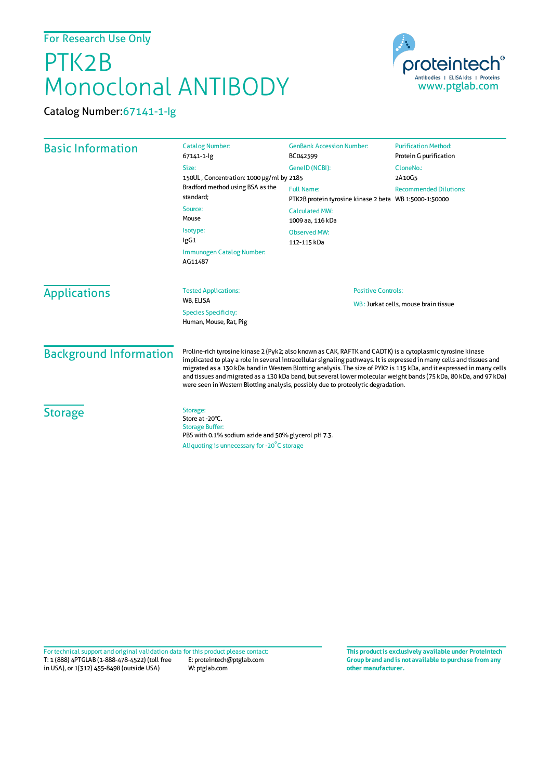## PTK2B Monoclonal ANTIBODY



Catalog Number:67141-1-Ig

| <b>Basic Information</b>      | <b>Catalog Number:</b><br>67141-1-lg                                                                                                                                                                                                                                                                                                                                                                                                                                                                                                                                | <b>GenBank Accession Number:</b><br>BC042599                                                        | <b>Purification Method:</b><br>Protein G purification |
|-------------------------------|---------------------------------------------------------------------------------------------------------------------------------------------------------------------------------------------------------------------------------------------------------------------------------------------------------------------------------------------------------------------------------------------------------------------------------------------------------------------------------------------------------------------------------------------------------------------|-----------------------------------------------------------------------------------------------------|-------------------------------------------------------|
|                               | Size:<br>150UL, Concentration: 1000 µg/ml by 2185<br>Bradford method using BSA as the<br>standard:<br>Source:<br>Mouse                                                                                                                                                                                                                                                                                                                                                                                                                                              | GeneID (NCBI):<br><b>Full Name:</b>                                                                 | CloneNo.:<br>2A10G5<br><b>Recommended Dilutions:</b>  |
|                               |                                                                                                                                                                                                                                                                                                                                                                                                                                                                                                                                                                     | PTK2B protein tyrosine kinase 2 beta WB 1:5000-1:50000<br><b>Calculated MW:</b><br>1009 aa, 116 kDa |                                                       |
|                               | Isotype:<br>lgG1<br><b>Immunogen Catalog Number:</b>                                                                                                                                                                                                                                                                                                                                                                                                                                                                                                                | <b>Observed MW:</b><br>112-115 kDa                                                                  |                                                       |
|                               | AG11487                                                                                                                                                                                                                                                                                                                                                                                                                                                                                                                                                             |                                                                                                     |                                                       |
| <b>Applications</b>           | <b>Tested Applications:</b><br>WB, ELISA<br><b>Species Specificity:</b><br>Human, Mouse, Rat, Pig                                                                                                                                                                                                                                                                                                                                                                                                                                                                   | <b>Positive Controls:</b><br>WB: Jurkat cells, mouse brain tissue                                   |                                                       |
| <b>Background Information</b> | Proline-rich tyrosine kinase 2 (Pyk2; also known as CAK, RAFTK and CADTK) is a cytoplasmic tyrosine kinase<br>implicated to play a role in several intracellular signaling pathways. It is expressed in many cells and tissues and<br>migrated as a 130 kDa band in Western Blotting analysis. The size of PYK2 is 115 kDa, and it expressed in many cells<br>and tissues and migrated as a 130 kDa band, but several lower molecular weight bands (75 kDa, 80 kDa, and 97 kDa)<br>were seen in Western Blotting analysis, possibly due to proteolytic degradation. |                                                                                                     |                                                       |
| <b>Storage</b>                | Storage:<br>Store at -20°C.<br><b>Storage Buffer:</b><br>PBS with 0.1% sodium azide and 50% glycerol pH 7.3.<br>Aliquoting is unnecessary for -20°C storage                                                                                                                                                                                                                                                                                                                                                                                                         |                                                                                                     |                                                       |

T: 1 (888) 4PTGLAB (1-888-478-4522) (toll free E: proteintech@ptglab.com in USA), or 1(312) 455-8498 (outside USA) W: ptglab.com Fortechnical support and original validation data forthis product please contact: **This productis exclusively available under Proteintech**

**Group brand and is not available to purchase from any other manufacturer.**